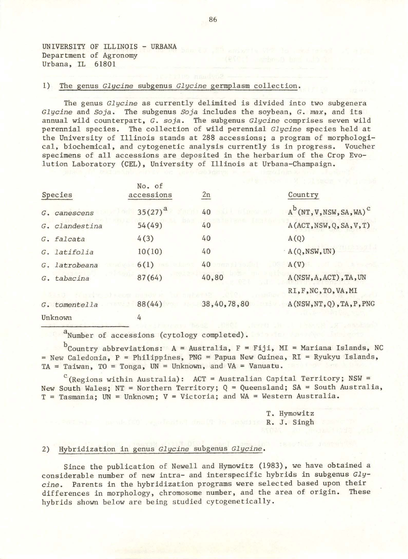UNIVERSITY OF ILLINOIS - URBANA Department of Agronomy Urbana, IL 61801

## 1) The genus *Glycine* subgenus *Glycine* germplasm collection.

The genus *Glycine* as currently delimited is divided into two subgenera *Glycine* and *Soja.* The subgenus *Soja* includes the soybean, G. *max,* and its annual wild counterpart, G. *soja .* The subgenus *Glycine* comprises seven wild perennial species. The collection of wild perennial *Glycine* species held at the University of Illinois stands at 288 accessions; a program of morphological, biochemical, and cytogenetic analysis currently is in progress. Voucher specimens of all accessions are deposited in the herbarium of the Crop Evolution Laboratory (CEL), University of Illinois at Urbana-Champaign.

| Species        | No. of<br>accessions | 2n          | Country                                 |
|----------------|----------------------|-------------|-----------------------------------------|
| G. canescens   | $35(27)^{a}$         | 40          | $A^b$ (NT, V, NSW, SA, WA) <sup>c</sup> |
| G. clandestina | 54(49)               | 40          | A(ACT, NSW, Q, SA, V, T)                |
| G. falcata     | 4(3)                 | 40          | A(Q)                                    |
| G. latifolia   | 10(10)               | 40          | A(Q,NSW,UN)                             |
| G. latrobeana  | 6(1)                 | 40          | A(V)                                    |
| G. tabacina    | 87(64)               | 40,80       | A(NSW, A, ACT), TA, UN                  |
|                |                      |             | RI, F, NC, TO, VA, MI                   |
| G. tomentella  | 88(44)               | 38,40,78,80 | A(NSW, NT, Q), TA, P, PNG               |
| Unknown        | 4                    |             |                                         |

a<sub>Number</sub> of accessions (cytology completed).

 $^{D}$ Country abbreviations: A = Australia, F = Fiji, MI = Mariana Islands, NC  $N = New$  Caledonia,  $P = Philippines$ ,  $PNG = Papua$  New Guinea,  $RI = Ryukyu$  Islands, TA = Taiwan, TO = Tonga,  $UN = Unknown$ , and  $VA = Vanuatu$ .

 $\rm ^c$  (Regions within Australia): ACT = Australian Capital Territory; NSW = New South Wales; NT = Northern Territory; Q = Queensland; SA = South Australia,  $T =$  Tasmania; UN = Unknown; V = Victoria; and WA = Western Australia.

> T. Hymowitz R. J. Singh

# 2) Hybridization in genus *Glycine* subgenus *Glycine .*

Since the publication of Newell and Hymowitz (1983), we have obtained a considerable number of new intra- and interspecific hybrids in subgenus *Glycine.* Parents in the hybridization programs were selected based upon their differences in morphology, chromosome number, and the area of origin. These hybrids shown below are being studied cytogenetically.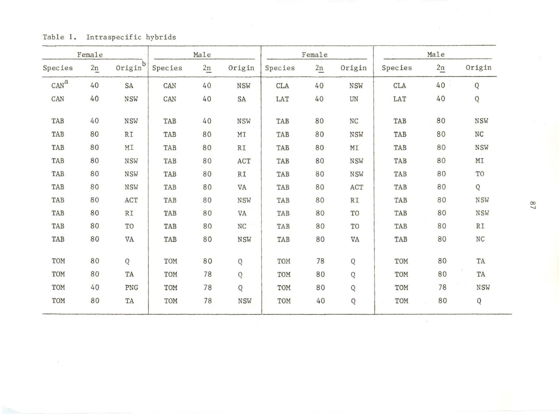|                  | Female |                |         | Male |                          |            | Female |                    |            | Male           |              |
|------------------|--------|----------------|---------|------|--------------------------|------------|--------|--------------------|------------|----------------|--------------|
| Species          | 2n     | Origin         | Species | 2n   | Origin                   | Species    | 2n     | Origin             | Species    | $\frac{2n}{2}$ | Origin       |
| CAN <sup>a</sup> | 40     | SA             | CAN     | 40   | <b>NSW</b>               | <b>CLA</b> | 40     | <b>NSW</b>         | <b>CLA</b> | 40             | Q            |
| CAN              | 40     | NSW            | CAN     | 40   | SA                       | LAT        | 40     | UN                 | LAT        | 40             | Q            |
| TAB              | 40     | <b>NSW</b>     | TAB     | 40   | NSW                      | TAB        | 80     | $_{\mathrm{NC}}$   | TAB        | 80             | NSW          |
| TAB              | 80     | RI             | TAB     | 80   | MI                       | TAB        | 80     | <b>NSW</b>         | TAB        | 80             | NC           |
| TAB              | 80     | MI             | TAB     | 80   | $\mathbb{R}\mathbbm{1}$  | TAB        | 80     | MI                 | TAB        | 80             | NSW          |
| TAB              | 80     | NSW            | TAB     | 80   | ACT                      | TAB        | 80     | NSW                | TAB        | 80             | MI           |
| TAB              | 80     | <b>NSW</b>     | TAB     | 80   | $\mathbb{R} \mathbbm{1}$ | TAB        | 80     | <b>NSW</b>         | TAB        | 80             | TO           |
| TAB              | 80     | <b>NSW</b>     | TAB     | 80   | VA                       | TAB        | 80     | $\mathop{\rm ACT}$ | TAB        | 80             | Q            |
| TAB              | 80     | ACT            | TAB     | 80   | <b>NSW</b>               | TAB        | 80     | R <sub>T</sub>     | TAB        | 80             | $_{\rm NSW}$ |
| TAB              | 80     | RI             | TAB     | 80   | VA                       | TAB        | 80     | TO                 | TAB        | 80             | <b>NSW</b>   |
| TAB              | 80     | T <sub>O</sub> | TAB     | 80   | $_{\mathrm{NC}}$         | TAB        | 80     | TO                 | TAB        | 80             | R1           |
| TAB              | 80     | VA             | TAB     | 80   | <b>NSW</b>               | TAB        | 80     | VA                 | TAB        | 80             | $\rm{NC}$    |
| TOM              | 80     | Q              | TOM     | 80   | Q                        | TOM        | 78     | ${\mathsf Q}$      | TOM        | 80             | TA           |
| TOM              | 80     | TA             | TOM     | 78   | $\mathbf Q$              | TOM        | 80     | $\mathbf Q$        | TOM        | 80             | TA           |
| TOM              | 40     | PNG            | TOM     | 78   | Q                        | TOM        | 80     | $\mathsf Q$        | TOM        | 78             | NSW          |
| TOM              | 80     | TA             | TOM     | 78   | <b>NSW</b>               | TOM        | 40     | Q                  | TOM        | 80             | Q            |

Table 1. Intraspecific hybrids

 $\frac{2}{3}$ 

 $\alpha$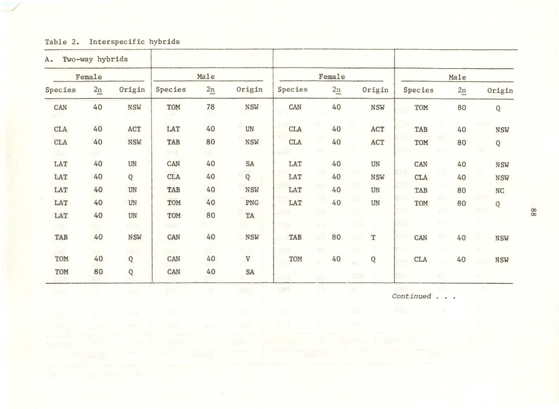| Interspecific hybrids<br>Table 2. |  |
|-----------------------------------|--|
|-----------------------------------|--|

| A.                       | Two-way hybrids |                               |                   |                |                     |                                                    |             |               |            |                          |             |            |     |    |  |              |  |
|--------------------------|-----------------|-------------------------------|-------------------|----------------|---------------------|----------------------------------------------------|-------------|---------------|------------|--------------------------|-------------|------------|-----|----|--|--------------|--|
|                          | Female          |                               |                   | Male           |                     |                                                    |             | Female        |            |                          |             | Male       |     |    |  |              |  |
| Species                  | $\frac{2n}{2}$  | Origin                        | Species           | $\frac{2n}{2}$ | Origin              | Species                                            |             | $\frac{2n}{}$ |            | Origin                   |             | Species    |     | 2n |  | Origin       |  |
| ${\tt CAN}$              | 40              | <b>NSW</b>                    | TOM               | 78             | <b>NSW</b>          | ${\tt CAN}$                                        |             | 40            |            | <b>NSW</b>               |             | TOM        |     | 80 |  | Q            |  |
| CLA                      | 40              | ACT                           | LAT               | 40             | UN                  | <b>CLA</b>                                         |             | 40            |            | ACT                      |             | TAB        |     | 40 |  | <b>NSW</b>   |  |
| <b>CLA</b><br><b>JOH</b> | 40<br>90.       | <b>NSW</b>                    | TAB<br><b>TON</b> | 80<br>80       | <b>NSW</b>          | TY1<br>$\operatorname{CLA}$<br>$\mu\lambda\lambda$ |             | 40            |            | ACT                      |             | TOM        |     | 80 |  | $\mathsf Q$  |  |
| LAT                      | 40              | $\ensuremath{\text{UN}}$      | CAN               | 40             | SA                  | LAT                                                |             | 40            |            | $\ensuremath{\text{UN}}$ |             | CAN        |     | 40 |  | <b>NSW</b>   |  |
| LAT                      | 40              | Q                             | <b>CLA</b>        | 40             | $\overline{Q}$      | LAT                                                |             | 40            | 俶          | <b>NSW</b>               |             | <b>CLA</b> |     | 40 |  | <b>NSW</b>   |  |
| LAT                      | 40              | $\ensuremath{\text{UN}}$      | TAB               | 40             | NSW                 | LAT                                                | RO          | 40            | 20.        | $\mathbf{U}\mathbf{N}$   |             | TAB        |     | 80 |  | <b>NC</b>    |  |
| LAT                      | 40              | $\ensuremath{\text{UN}}$      | TOM               | 40             | PNG                 | LAT                                                |             | 40            |            | $\ensuremath{\text{UN}}$ |             | TOM        |     | 80 |  | $\mathsf{Q}$ |  |
| LAT<br><b>TYT</b>        | 40              | $\mathbf{U}\mathbf{N}$<br>図字内 | TOM<br><b>IVR</b> | 80<br>١N       | TA                  | 法反应<br>TYR.                                        | 80<br>(44)  |               |            |                          | LVT         |            |     |    |  |              |  |
| TAB                      | 40              | NSW                           | CAN               | 40             | <b>NSW</b>          | TAB                                                | 80          | 80            | иге        | $\mathbf T$              | 87          | CAN        | au  | 40 |  | <b>NSW</b>   |  |
| <b>CONT</b><br>TOM       | 5YY<br>40       | uðu<br>$\mathsf Q$            | 3.67%<br>CAN      | αń.<br>40      | 5.3<br>$\mathtt{V}$ | 1/8<br>TOM                                         | 36          | 40            |            | ${\bf Q}$                |             | <b>CLA</b> |     | 40 |  | <b>NSW</b>   |  |
| TOM                      | 80              | $\bf Q$                       | CAN               | 40             | SA                  | <b>DYB</b>                                         | 9C<br>B     |               | <b>MRM</b> |                          | terb<br>ive |            | -90 |    |  |              |  |
| BV)                      | -6              | 天堂大                           | <b>TST</b>        | ht)            | tfa.                | 1970                                               | $\lambda$ 0 |               | MG.        |                          |             | Continued  |     |    |  |              |  |
| ωt.                      | żά              | $-20.3$                       | -47               | 45             | $\sim$ 25           | 18                                                 | dй          |               | SI M       |                          | TV1         |            |     |    |  |              |  |
|                          |                 |                               |                   | tisti          |                     | - U                                                | đľ          |               | 以色.        |                          | ut 'n       |            |     |    |  |              |  |
| YL-HO (YEA               |                 |                               |                   |                |                     |                                                    |             |               |            |                          |             |            |     |    |  |              |  |
|                          |                 |                               |                   |                |                     |                                                    |             |               |            |                          |             |            |     |    |  |              |  |

00 00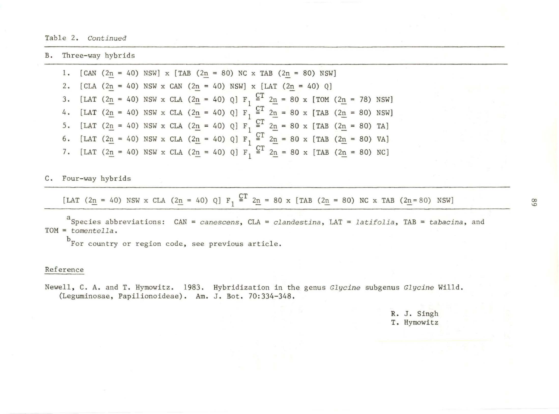B. Three-way hybrids

1.  $[CAN (2n = 40) NSW] x [TAB (2n = 80) NC x TAB (2n = 80) NSW]$ 2.  $[CLA (2n = 40) NSW \times CAN (2n = 40) NSW] \times [LAT (2n = 40) Q]$ 3. [LAT (2<u>n</u> = 40) NSW x CLA (2n = 40) Q] F<sub>1</sub>  $\frac{CT}{1}$  2n = 80 x [TOM (2n = 78) NSW] 4. [LAT (2<u>n</u> = 40) NSW x CLA (2<u>n</u> = 40) Q]  $F_1 \stackrel{CT}{=} 2n = 80$  x [TAB (2<u>n</u> = 80) NSW] 5. [LAT (2<u>n</u> = 40) NSW x CLA (2<u>n</u> = 40) Q] F<sub>1</sub>  $\frac{CT}{1}$  2<sub>n</sub> = 80 x [TAB (2<sub>n</sub> = 80) TA] 6. [LAT  $(2n = 40)$  NSW x CLA  $(2n = 40)$  Q]  $F_1 \stackrel{CT}{=} 2n = 80$  x [TAB  $(2n = 80)$  VA] 7. [LAT  $(2n = 40)$  NSW x CLA  $(2n = 40)$  Q]  $F_1 \stackrel{CT}{=} 2n = 80$  x [TAB  $(2n = 80)$  NC]

C. Four-way hybrids

[LAT (2n = 40) NSW x CLA (2n = 40) Q] F<sub>1</sub>  $\frac{CT}{4}$  2n = 80 x [TAB (2n = 80) NC x TAB (2n= 80) NSW]

aSpecies abbreviations: CAN = canescens, CLA = *clandestina,* LAT = *latifolia,* TAB = *tabacina,* and TOM= *tomente lla.* 

b<sub>For country or region code, see previous article.</sub>

## Reference

Newell, C. A. and T. Hymowitz. 1983 . Hybridization in the genus *Glycine* subgenus *Glycine* Willd . (Leguminosae, Papilionoideae) . Am. J. Bot. 70:334-348.

> R. J. Singh T. Hymowitz